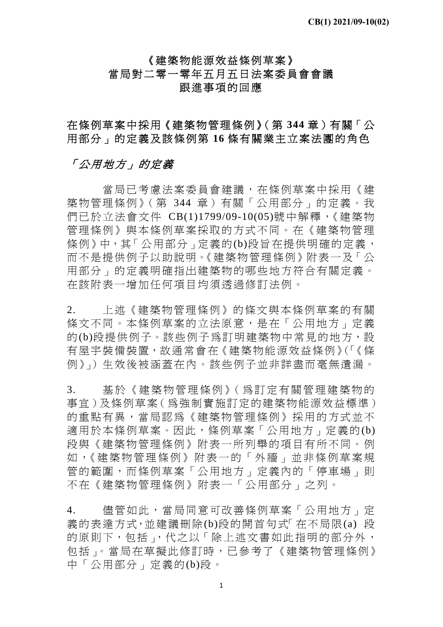# 《建築物能源效益條例草案》 當局對二零一零年五月五日法案委員會會議 跟進事項的回應

在條例草案中採用《建築物管理條例》(第 **344** 章)有關「公 用部分」的定義及該條例第 **16** 條有關業主立案法團的角色

### 「公用地方」的定義

 當局已考慮法案委員會建議,在條例草案中採用《建 築物管理條例》(第 344 章)有關「公用部分」的定義。我 們已於立法會文件 CB(1)1799/09-10(05)號中解釋,《建築物 管理條例》與本條例草案採取的方式不同。在《建築物管理 條例》中,其「公用部分」定義的(b)段旨在提供明確的定義, 而不是提供例子以助說明。《建築物管理條例》附表一及「公 用部分」的定義明確指出建築物的哪些地方符合有關定義。 在該附表一增加任何項目均須透過修訂法例。

2. 上述《建築物管理條例》的條文與本條例草案的有關 條文不同。本條例草案的立法原意,是在「公用地方」定義 的(b)段提供例子。該些例子為訂明建築物中常見的地方,設 有屋宇裝備裝置,故通常會在《建築物能源效益條例》(「《條 例》」)生效後被涵蓋在內。該些例子並非詳盡而毫無遺漏。

3. 基於《建築物管理條例》(為訂定有關管理建築物的 事宜)及條例草案(為強制實施訂定的建築物能源效益標準) 的重點有異,當局認為《建築物管理條例》採用的方式並不 適用於本條例草案。因此,條例草案「公用地方」定義的(b) 段與《建築物管理條例》附表一所列舉的項目有所不同。例 如 ,《建築物管理條例》附表一的「外牆」並非條例草案規 管的範圍,而條例草案「公用地方」定義內的「停車場」則 不在《建築物管理條例》附表一「公用部分」之列。

4. 儘管如此,當局同意可改善條例草案「公用地方」定 義的表達方式,並建議刪除(b)段的開首句式「在不局限(a) 段 的原則下,包括」,代之以「除上述文書如此指明的部分外, 包括」。當局在草擬此修訂時,已參考了《建築物管理條例》 中「公用部分」定義的(b)段。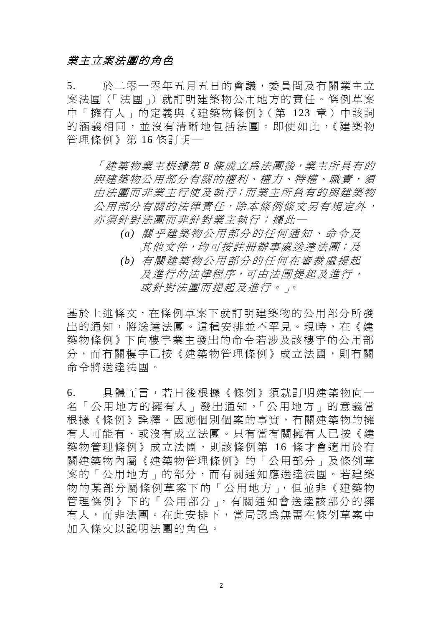### 業主立案法團的角色

5. 於二零一零年五月五日的會議,委員問及有關業主立 案法團(「法團」)就訂明建築物公用地方的責任。條例草案 中「擁有人」的定義與《建築物條例》(第 123 章)中該詞 的涵義相同,並沒有清晰地包括法團。即使如此,《建築物 管理條例》第 16 條訂明─

「建築物業主根據第 *8* 條成立為法團後,業主所具有的 與建築物公用部分有關的權利、權力、特權、職責,須 由法團而非業主行使及執行;而業主所負有的與建築物 公用部分有關的法律責任,除本條例條文另有規定外, 亦須針對法團而非針對業主執行;據此─

- *(a)* 關乎建築物公用部分的任何通知、命令及 其他文件,均可按註冊辦事處送達法團;及
- *(b)* 有關建築物公用部分的任何在審裁處提起 及進行的法律程序,可由法團提起及進行, 或針對法團而提起及進行。」。

基於上述條文,在條例草案下就訂明建築物的公用部分所發 出的通知,將送達法團。這種安排並不罕見。現時,在《建 築物條例》下向樓宇業主發出的命令若涉及該樓宇的公用部 分,而有關樓宇已按《建築物管理條例》成立法團,則有關 命令將送達法團。

6. 具體而言,若日後根據《條例》須就訂明建築物向一 名「公用地方的擁有人」發出通知,「公用地方」的意義當 根據《條例》詮釋。因應個別個案的事實,有關建築物的擁 有人可能有、或沒有成立法團。只有當有關擁有人已按《建 築物管理條例》成立法團,則該條例第 16 條才會適用於有 關建築物內屬《建築物管理條例》的「公用部分」及條例草 案的「公用地方」的部分,而有關通知應送達法團。若建築 物的某部分屬條例草案下的「公用地方」,但並非《建築物 管理條例》下的「公用部分」,有關通知會送達該部分的擁 有人,而非法團。在此安排下,當局認為無需在條例草案中 加入條文以說明法團的角色。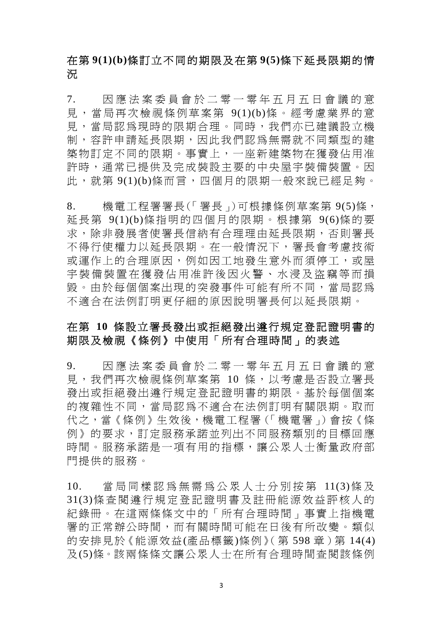## 在第 **9(1)(b)**條訂立不同的期限及在第 **9(5)**條下延長限期的情 況

7. 因應法案委員會於二零一零年五月五日會議的意 見,當局再次檢視條例草案第 9(1)(b)條。經考慮業界的意 見,當局認為現時的限期合理。同時,我們亦已建議設立機 制,容許申請延長限期,因此我們認為無需就不同類型的建 築物訂定不同的限期。事實上,一座新建築物在獲發佔用准 許時,通常已提供及完成裝設主要的中央屋宇裝備裝置。因 此,就第 9(1)(b)條而言,四個月的限期一般來說已經足夠。

8. 機電工程署署長(「署長」)可根據條例草案第 9(5)條, 延長第 9(1)(b)條指明的四個月的限期。根據第 9(6)條的要 求,除非發展者使署長信納有合理理由延長限期,否則署長 不得行使權力以延長限期。在一般情況下,署長會考慮技術 或運作上的合理原因,例如因工地發生意外而須停工,或屋 宇裝備裝置在獲發佔用准許後 因火警、水浸及盜竊等而損 毀。由於每個個案出現的突發事件可能有所不同,當局認為 不適合在法例訂明更仔細的原因說明署長何以延長限期。

### 在第 **10** 條設立署長發出或拒絕發出遵行規定登記證明書的 期限及檢視《條例》中使用「所有合理時間」的表述

9. 因應法案委員會於二零一零年五月五日會議的意 見,我們再次檢視條例草案第 10 條,以考慮是否設立署長 發出或拒絕發出遵行規定登記證明書的期限。基於每個個案 的複雜性不同,當局認為不適合在法例訂明有關限期。取而 代之,當《條例》生效後,機電工程署(「機電署」)會按《條 例》的要求,訂定服務承諾並列出不同服務類別的目標回應 時間。服務承諾是一項有用的指標,讓公眾人士衡量政府部 門提供的服務。

10. 當局同樣認為無需為公眾人士分別按第 11(3)條 及 31(3)條查閱遵行規定登記證明書及註冊能源效益評核人的 紀錄冊。在這兩條條文中的「所有合理時間」事實上指機電 署的正常辦公時間,而有關時間可能在日後有所改變。類似 的安排見於《能源效益(產品標籤)條例》(第598章)第14(4) 及(5)條。該兩條條文讓公眾人士在所有合理時間查閱該條例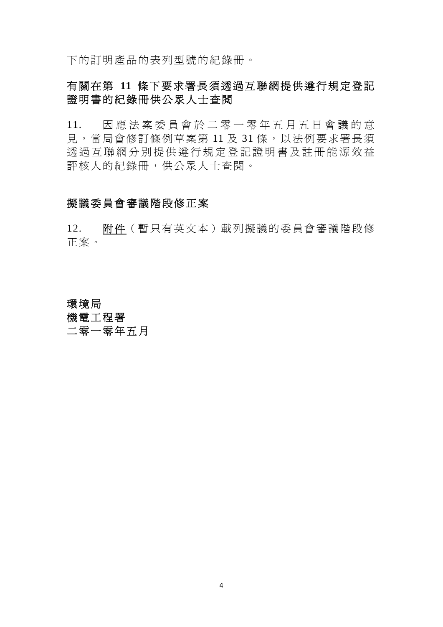下的訂明產品的表列型號的紀錄冊。

# 有關在第 **11** 條下要求署長須透過互聯網提供遵行規定登記 證明書的紀錄冊供公眾人士查閱

11. 因應法案委員會於二零一零年五月五日會議的意 見,當局會修訂條例草案第 11 及 31 條,以法例要求署長須 透過互聯網分別提供遵行規定 登記證明書及註冊能源效益 評核人的紀錄冊,供公眾人士查閱。

### 擬議委員會審議階段修正案

12. 附件(暫只有英文本)載列擬議的委員會審議階段修 正案。

# 環境局 機電工程署 二零一零年五月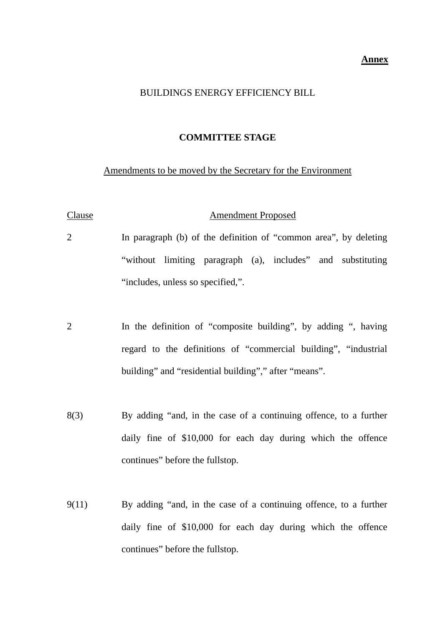#### **Annex**

#### BUILDINGS ENERGY EFFICIENCY BILL

#### **COMMITTEE STAGE**

#### Amendments to be moved by the Secretary for the Environment

# Clause **Amendment Proposed** 2 In paragraph (b) of the definition of "common area", by deleting

- "without limiting paragraph (a), includes" and substituting "includes, unless so specified,".
- 2 In the definition of "composite building", by adding ", having regard to the definitions of "commercial building", "industrial building" and "residential building"," after "means".
- 8(3) By adding "and, in the case of a continuing offence, to a further daily fine of \$10,000 for each day during which the offence continues" before the fullstop.
- 9(11) By adding "and, in the case of a continuing offence, to a further daily fine of \$10,000 for each day during which the offence continues" before the fullstop.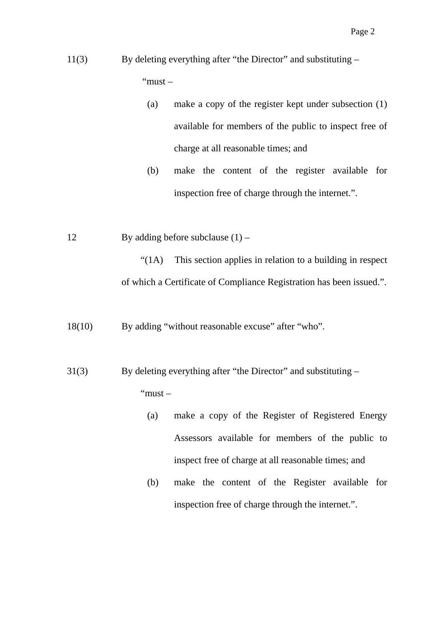# 11(3) By deleting everything after "the Director" and substituting – "must –

- (a) make a copy of the register kept under subsection (1) available for members of the public to inspect free of charge at all reasonable times; and
- (b) make the content of the register available for inspection free of charge through the internet.".
- 12 By adding before subclause  $(1)$  –

"(1A) This section applies in relation to a building in respect of which a Certificate of Compliance Registration has been issued.".

18(10) By adding "without reasonable excuse" after "who".

31(3) By deleting everything after "the Director" and substituting – "must –

- (a) make a copy of the Register of Registered Energy Assessors available for members of the public to inspect free of charge at all reasonable times; and
- (b) make the content of the Register available for inspection free of charge through the internet.".